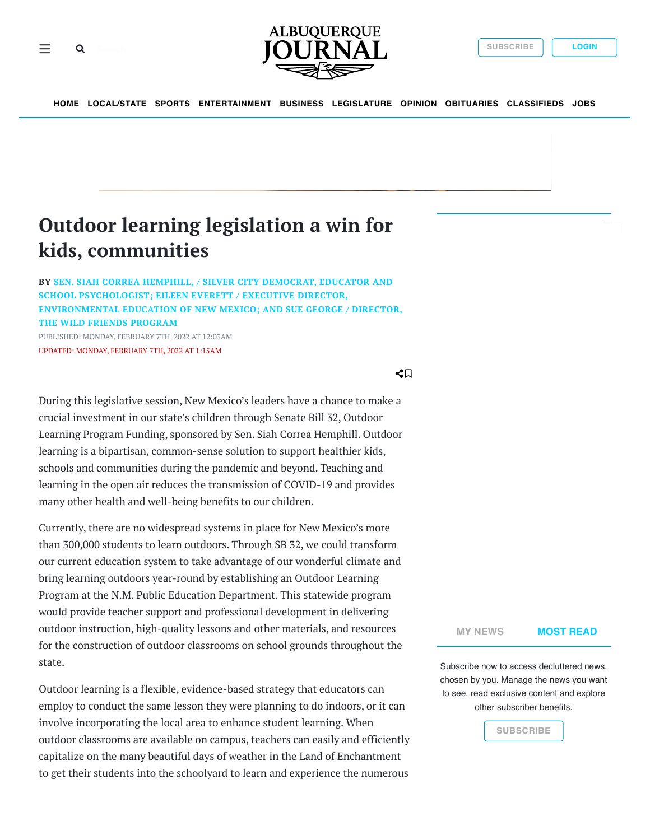



**[HOME](https://abqjournal.com/) [LOCAL/STATE](https://www.abqjournal.com/category/news/abq-news) [SPORTS](https://www.abqjournal.com/category/sports) [ENTERTAINMENT](https://www.abqjournal.com/category/entertainment) [BUSINESS](https://www.abqjournal.com/category/biz) [LEGISLATURE](https://www.abqjournal.com/category/legislature) [OPINION](https://www.abqjournal.com/opinion) [OBITUARIES](https://www.legacy.com/obituaries/abqjournal/) [CLASSIFIEDS](https://classifiedsnm.com/marketplace/albuquerque/) [JOBS](https://classifiedsnm.com/marketplace/albuquerque/category/Employment)**

## **Outdoor learning legislation a win for kids, communities**

**BY SEN. SIAH CORREA HEMPHILL, / SILVER CITY DEMOCRAT, EDUCATOR AND SCHOOL PSYCHOLOGIST; EILEEN EVERETT / EXECUTIVE DIRECTOR, [ENVIRONMENTAL EDUCATION OF NEW MEXICO; AND SUE GEORGE / DIRECTOR,](https://www.abqjournal.com/?s=Sen.+Siah+Correa+Hemphill%2C+%2F+silver+city+democrat%2C+educator+and+school+psychologist%3B+EILEEN+EVERETT+%2F+EXECUTIVE+DIRECTOR%2C+ENVIRONMENTAL+EDUCATION+OF+NEW+MEXICO%3B+AND+SUE+GEORGE+%2F+DIRECTOR%2C+THE+WILD+FRIENDS+PROGRAM) THE WILD FRIENDS PROGRAM** PUBLISHED: MONDAY, FEBRUARY 7TH, 2022 AT 12:03AM UPDATED: MONDAY, FEBRUARY 7TH, 2022 AT 1:15AM

 $\triangleleft \Box$ 

During this legislative session, New Mexico's leaders have a chance to make a crucial investment in our state's children through Senate Bill 32, Outdoor Learning Program Funding, sponsored by Sen. Siah Correa Hemphill. Outdoor learning is a bipartisan, common-sense solution to support healthier kids, schools and communities during the pandemic and beyond. Teaching and learning in the open air reduces the transmission of COVID-19 and provides many other health and well-being benefits to our children.

Currently, there are no widespread systems in place for New Mexico's more than 300,000 students to learn outdoors. Through SB 32, we could transform our current education system to take advantage of our wonderful climate and bring learning outdoors year-round by establishing an Outdoor Learning Program at the N.M. Public Education Department. This statewide program would provide teacher support and professional development in delivering outdoor instruction, high-quality lessons and other materials, and resources for the construction of outdoor classrooms on school grounds throughout the state.

Outdoor learning is a flexible, evidence-based strategy that educators can employ to conduct the same lesson they were planning to do indoors, or it can involve incorporating the local area to enhance student learning. When outdoor classrooms are available on campus, teachers can easily and efficiently capitalize on the many beautiful days of weather in the Land of Enchantment to get their students into the schoolyard to learn and experience the numerous

**[MY NEWS](https://www.abqjournal.com/2467694/outdoor-learning-legislation-a-win-for-kids-communities.html#) [MOST READ](https://www.abqjournal.com/2467694/outdoor-learning-legislation-a-win-for-kids-communities.html#)**

Subscribe now to access decluttered news, chosen by you. Manage the news you want to see, read exclusive content and explore other subscriber benefits.